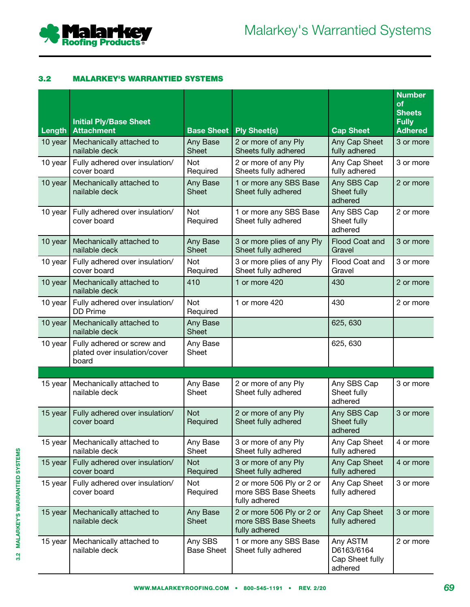

# 3.2 MALARKEY'S WARRANTIED SYSTEMS

|         | <b>Initial Ply/Base Sheet</b>                                       |                              |                                                                    |                                                      | <b>Number</b><br><b>of</b><br><b>Sheets</b><br><b>Fully</b> |
|---------|---------------------------------------------------------------------|------------------------------|--------------------------------------------------------------------|------------------------------------------------------|-------------------------------------------------------------|
| Length  | <b>Attachment</b>                                                   | <b>Base Sheet</b>            | <b>Ply Sheet(s)</b>                                                | <b>Cap Sheet</b>                                     | <b>Adhered</b>                                              |
| 10 year | Mechanically attached to<br>nailable deck                           | Any Base<br><b>Sheet</b>     | 2 or more of any Ply<br>Sheets fully adhered                       | Any Cap Sheet<br>fully adhered                       | 3 or more                                                   |
| 10 year | Fully adhered over insulation/<br>cover board                       | Not<br>Required              | 2 or more of any Ply<br>Sheets fully adhered                       | Any Cap Sheet<br>fully adhered                       | 3 or more                                                   |
| 10 year | Mechanically attached to<br>nailable deck                           | Any Base<br>Sheet            | 1 or more any SBS Base<br>Sheet fully adhered                      | Any SBS Cap<br>Sheet fully<br>adhered                | 2 or more                                                   |
| 10 year | Fully adhered over insulation/<br>cover board                       | Not<br>Required              | 1 or more any SBS Base<br>Sheet fully adhered                      | Any SBS Cap<br>Sheet fully<br>adhered                | 2 or more                                                   |
| 10 year | Mechanically attached to<br>nailable deck                           | Any Base<br><b>Sheet</b>     | 3 or more plies of any Ply<br>Sheet fully adhered                  | Flood Coat and<br>Gravel                             | 3 or more                                                   |
| 10 year | Fully adhered over insulation/<br>cover board                       | Not<br>Required              | 3 or more plies of any Ply<br>Sheet fully adhered                  | Flood Coat and<br>Gravel                             | 3 or more                                                   |
| 10 year | Mechanically attached to<br>nailable deck                           | 410                          | 1 or more 420                                                      | 430                                                  | 2 or more                                                   |
| 10 year | Fully adhered over insulation/<br><b>DD Prime</b>                   | Not<br>Required              | 1 or more 420                                                      | 430                                                  | 2 or more                                                   |
| 10 year | Mechanically attached to<br>nailable deck                           | Any Base<br><b>Sheet</b>     |                                                                    | 625, 630                                             |                                                             |
| 10 year | Fully adhered or screw and<br>plated over insulation/cover<br>board | Any Base<br>Sheet            |                                                                    | 625, 630                                             |                                                             |
|         |                                                                     |                              |                                                                    |                                                      |                                                             |
| 15 year | Mechanically attached to<br>nailable deck                           | Any Base<br>Sheet            | 2 or more of any Ply<br>Sheet fully adhered                        | Any SBS Cap<br>Sheet fully<br>adhered                | 3 or more                                                   |
| 15 year | Fully adhered over insulation/<br>cover board                       | <b>Not</b><br>Required       | 2 or more of any Ply<br>Sheet fully adhered                        | Any SBS Cap<br>Sheet fully<br>adhered                | 3 or more                                                   |
| 15 year | Mechanically attached to<br>nailable deck                           | Any Base<br>Sheet            | 3 or more of any Ply<br>Sheet fully adhered                        | Any Cap Sheet<br>fully adhered                       | 4 or more                                                   |
| 15 year | Fully adhered over insulation/<br>cover board                       | <b>Not</b><br>Required       | 3 or more of any Ply<br>Sheet fully adhered                        | Any Cap Sheet<br>fully adhered                       | 4 or more                                                   |
| 15 year | Fully adhered over insulation/<br>cover board                       | <b>Not</b><br>Required       | 2 or more 506 Ply or 2 or<br>more SBS Base Sheets<br>fully adhered | Any Cap Sheet<br>fully adhered                       | 3 or more                                                   |
| 15 year | Mechanically attached to<br>nailable deck                           | Any Base<br><b>Sheet</b>     | 2 or more 506 Ply or 2 or<br>more SBS Base Sheets<br>fully adhered | Any Cap Sheet<br>fully adhered                       | 3 or more                                                   |
| 15 year | Mechanically attached to<br>nailable deck                           | Any SBS<br><b>Base Sheet</b> | 1 or more any SBS Base<br>Sheet fully adhered                      | Any ASTM<br>D6163/6164<br>Cap Sheet fully<br>adhered | 2 or more                                                   |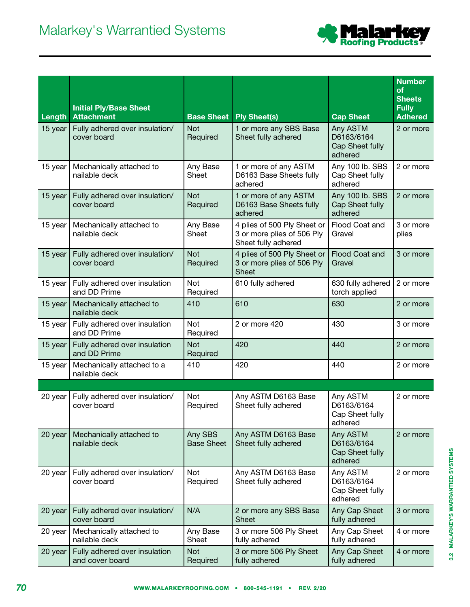

|         | <b>Initial Ply/Base Sheet</b>                    |                              |                                                                                  |                                                      | <b>Number</b><br><b>of</b><br><b>Sheets</b><br><b>Fully</b> |
|---------|--------------------------------------------------|------------------------------|----------------------------------------------------------------------------------|------------------------------------------------------|-------------------------------------------------------------|
| Length  | <b>Attachment</b>                                | <b>Base Sheet</b>            | <b>Ply Sheet(s)</b>                                                              | <b>Cap Sheet</b>                                     | <b>Adhered</b>                                              |
| 15 year | Fully adhered over insulation/<br>cover board    | <b>Not</b><br>Required       | 1 or more any SBS Base<br>Sheet fully adhered                                    | Any ASTM<br>D6163/6164<br>Cap Sheet fully<br>adhered | 2 or more                                                   |
| 15 year | Mechanically attached to<br>nailable deck        | Any Base<br>Sheet            | 1 or more of any ASTM<br>D6163 Base Sheets fully<br>adhered                      | Any 100 lb. SBS<br>Cap Sheet fully<br>adhered        | 2 or more                                                   |
| 15 year | Fully adhered over insulation/<br>cover board    | Not<br>Required              | 1 or more of any ASTM<br>D6163 Base Sheets fully<br>adhered                      | Any 100 lb. SBS<br>Cap Sheet fully<br>adhered        | 2 or more                                                   |
| 15 year | Mechanically attached to<br>nailable deck        | Any Base<br><b>Sheet</b>     | 4 plies of 500 Ply Sheet or<br>3 or more plies of 506 Ply<br>Sheet fully adhered | Flood Coat and<br>Gravel                             | 3 or more<br>plies                                          |
| 15 year | Fully adhered over insulation/<br>cover board    | <b>Not</b><br>Required       | 4 plies of 500 Ply Sheet or<br>3 or more plies of 506 Ply<br><b>Sheet</b>        | Flood Coat and<br>Gravel                             | 3 or more                                                   |
| 15 year | Fully adhered over insulation<br>and DD Prime    | Not<br>Required              | 610 fully adhered                                                                | 630 fully adhered<br>torch applied                   | 2 or more                                                   |
| 15 year | Mechanically attached to<br>nailable deck        | 410                          | 610                                                                              | 630                                                  | 2 or more                                                   |
| 15 year | Fully adhered over insulation<br>and DD Prime    | Not<br>Required              | 2 or more 420                                                                    | 430                                                  | 3 or more                                                   |
| 15 year | Fully adhered over insulation<br>and DD Prime    | <b>Not</b><br>Required       | 420                                                                              | 440                                                  | 2 or more                                                   |
| 15 year | Mechanically attached to a<br>nailable deck      | 410                          | 420                                                                              | 440                                                  | 2 or more                                                   |
|         |                                                  |                              |                                                                                  |                                                      |                                                             |
| 20 year | Fully adhered over insulation/<br>cover board    | Not<br>Required              | Any ASTM D6163 Base<br>Sheet fully adhered                                       | Any ASTM<br>D6163/6164<br>Cap Sheet fully<br>adhered | 2 or more                                                   |
| 20 year | Mechanically attached to<br>nailable deck        | Any SBS<br><b>Base Sheet</b> | Any ASTM D6163 Base<br>Sheet fully adhered                                       | Any ASTM<br>D6163/6164<br>Cap Sheet fully<br>adhered | 2 or more                                                   |
| 20 year | Fully adhered over insulation/<br>cover board    | Not<br>Required              | Any ASTM D6163 Base<br>Sheet fully adhered                                       | Any ASTM<br>D6163/6164<br>Cap Sheet fully<br>adhered | 2 or more                                                   |
| 20 year | Fully adhered over insulation/<br>cover board    | N/A                          | 2 or more any SBS Base<br><b>Sheet</b>                                           | Any Cap Sheet<br>fully adhered                       | 3 or more                                                   |
| 20 year | Mechanically attached to<br>nailable deck        | Any Base<br>Sheet            | 3 or more 506 Ply Sheet<br>fully adhered                                         | Any Cap Sheet<br>fully adhered                       | 4 or more                                                   |
| 20 year | Fully adhered over insulation<br>and cover board | <b>Not</b><br>Required       | 3 or more 506 Ply Sheet<br>fully adhered                                         | Any Cap Sheet<br>fully adhered                       | 4 or more                                                   |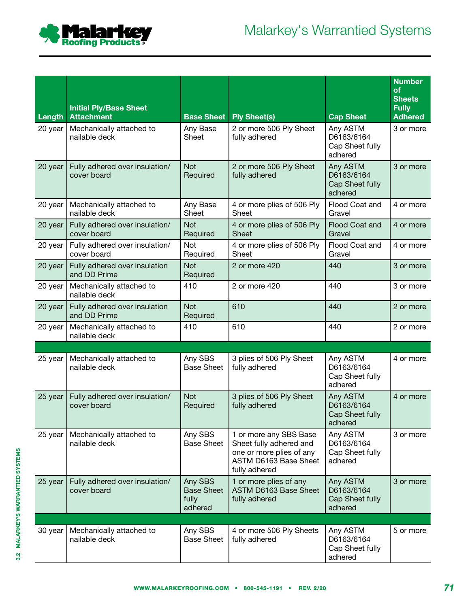

|                   | <b>Initial Ply/Base Sheet</b><br><b>Attachment</b> |                                                  |                                                                                                                         |                                                                          | <b>Number</b><br><b>of</b><br><b>Sheets</b><br><b>Fully</b> |
|-------------------|----------------------------------------------------|--------------------------------------------------|-------------------------------------------------------------------------------------------------------------------------|--------------------------------------------------------------------------|-------------------------------------------------------------|
| Length<br>20 year | Mechanically attached to<br>nailable deck          | <b>Base Sheet</b><br>Any Base<br>Sheet           | <b>Ply Sheet(s)</b><br>2 or more 506 Ply Sheet<br>fully adhered                                                         | <b>Cap Sheet</b><br>Any ASTM<br>D6163/6164<br>Cap Sheet fully<br>adhered | <b>Adhered</b><br>3 or more                                 |
| 20 year           | Fully adhered over insulation/<br>cover board      | <b>Not</b><br>Required                           | 2 or more 506 Ply Sheet<br>fully adhered                                                                                | Any ASTM<br>D6163/6164<br>Cap Sheet fully<br>adhered                     | 3 or more                                                   |
| 20 year           | Mechanically attached to<br>nailable deck          | Any Base<br>Sheet                                | 4 or more plies of 506 Ply<br>Sheet                                                                                     | Flood Coat and<br>Gravel                                                 | 4 or more                                                   |
| 20 year           | Fully adhered over insulation/<br>cover board      | Not<br>Required                                  | 4 or more plies of 506 Ply<br><b>Sheet</b>                                                                              | Flood Coat and<br>Gravel                                                 | 4 or more                                                   |
| 20 year           | Fully adhered over insulation/<br>cover board      | Not<br>Required                                  | 4 or more plies of 506 Ply<br>Sheet                                                                                     | Flood Coat and<br>Gravel                                                 | 4 or more                                                   |
| 20 year           | Fully adhered over insulation<br>and DD Prime      | <b>Not</b><br>Required                           | 2 or more 420                                                                                                           | 440                                                                      | 3 or more                                                   |
| 20 year           | Mechanically attached to<br>nailable deck          | 410                                              | 2 or more 420                                                                                                           | 440                                                                      | 3 or more                                                   |
| 20 year           | Fully adhered over insulation<br>and DD Prime      | <b>Not</b><br>Required                           | 610                                                                                                                     | 440                                                                      | 2 or more                                                   |
| 20 year           | Mechanically attached to<br>nailable deck          | 410                                              | 610                                                                                                                     | 440                                                                      | 2 or more                                                   |
|                   |                                                    |                                                  |                                                                                                                         |                                                                          |                                                             |
| 25 year           | Mechanically attached to<br>nailable deck          | Any SBS<br><b>Base Sheet</b>                     | 3 plies of 506 Ply Sheet<br>fully adhered                                                                               | Any ASTM<br>D6163/6164<br>Cap Sheet fully<br>adhered                     | 4 or more                                                   |
| 25 year           | Fully adhered over insulation/<br>cover board      | <b>Not</b><br>Required                           | 3 plies of 506 Ply Sheet<br>fully adhered                                                                               | Any ASTM<br>D6163/6164<br><b>Cap Sheet fully</b><br>adhered              | 4 or more                                                   |
| 25 year           | Mechanically attached to<br>nailable deck          | Any SBS<br><b>Base Sheet</b>                     | 1 or more any SBS Base<br>Sheet fully adhered and<br>one or more plies of any<br>ASTM D6163 Base Sheet<br>fully adhered | Any ASTM<br>D6163/6164<br>Cap Sheet fully<br>adhered                     | 3 or more                                                   |
| 25 year           | Fully adhered over insulation/<br>cover board      | Any SBS<br><b>Base Sheet</b><br>fully<br>adhered | 1 or more plies of any<br>ASTM D6163 Base Sheet<br>fully adhered                                                        | Any ASTM<br>D6163/6164<br>Cap Sheet fully<br>adhered                     | 3 or more                                                   |
|                   |                                                    |                                                  |                                                                                                                         |                                                                          |                                                             |
| 30 year           | Mechanically attached to<br>nailable deck          | Any SBS<br><b>Base Sheet</b>                     | 4 or more 506 Ply Sheets<br>fully adhered                                                                               | Any ASTM<br>D6163/6164<br>Cap Sheet fully<br>adhered                     | 5 or more                                                   |